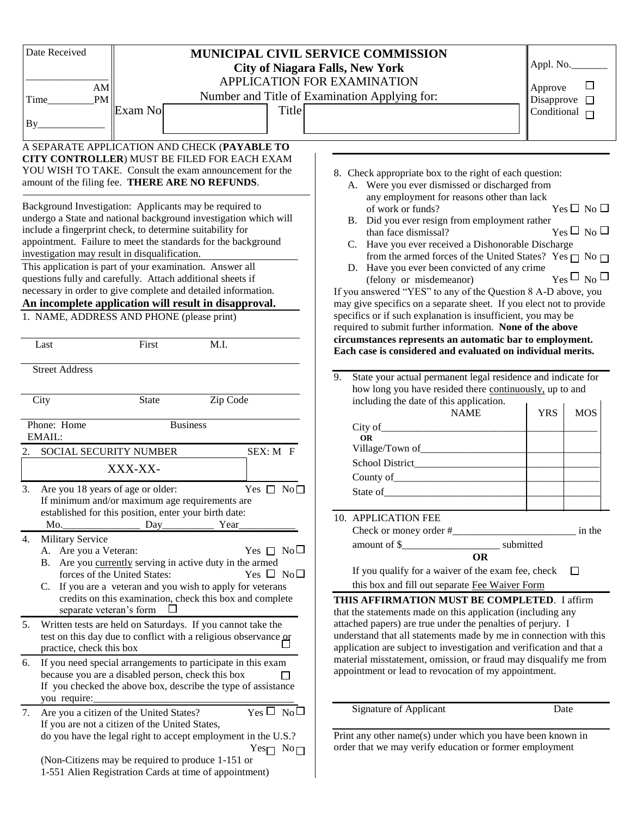| Date Received                        |                                                                                                                                                                                                                                                                                                            |                          | <b>MUNICIPAL CIVIL SERVICE COMMISSION</b><br><b>City of Niagara Falls, New York</b>                                                                                                                                                                                     | Appl. No.                                |  |
|--------------------------------------|------------------------------------------------------------------------------------------------------------------------------------------------------------------------------------------------------------------------------------------------------------------------------------------------------------|--------------------------|-------------------------------------------------------------------------------------------------------------------------------------------------------------------------------------------------------------------------------------------------------------------------|------------------------------------------|--|
| ${\rm AM}$                           |                                                                                                                                                                                                                                                                                                            |                          | APPLICATION FOR EXAMINATION                                                                                                                                                                                                                                             | $\Box$<br>Approve                        |  |
| $\mathbf{PM}$<br>Time                |                                                                                                                                                                                                                                                                                                            |                          | Number and Title of Examination Applying for:                                                                                                                                                                                                                           | Disapprove $\square$                     |  |
|                                      | Exam No.                                                                                                                                                                                                                                                                                                   | Title                    |                                                                                                                                                                                                                                                                         | Conditional $\Box$                       |  |
| By                                   |                                                                                                                                                                                                                                                                                                            |                          |                                                                                                                                                                                                                                                                         |                                          |  |
|                                      | A SEPARATE APPLICATION AND CHECK (PAYABLE TO                                                                                                                                                                                                                                                               |                          |                                                                                                                                                                                                                                                                         |                                          |  |
|                                      | CITY CONTROLLER) MUST BE FILED FOR EACH EXAM<br>YOU WISH TO TAKE. Consult the exam announcement for the<br>amount of the filing fee. THERE ARE NO REFUNDS.                                                                                                                                                 |                          | 8. Check appropriate box to the right of each question:<br>A. Were you ever dismissed or discharged from                                                                                                                                                                |                                          |  |
|                                      | Background Investigation: Applicants may be required to<br>undergo a State and national background investigation which will<br>include a fingerprint check, to determine suitability for<br>appointment. Failure to meet the standards for the background<br>investigation may result in disqualification. |                          | any employment for reasons other than lack<br>of work or funds?<br>B. Did you ever resign from employment rather<br>than face dismissal?<br>C. Have you ever received a Dishonorable Discharge<br>from the armed forces of the United States? Yes $\Box$ No $\Box$      | $Yes \Box No \Box$<br>$Yes \Box No \Box$ |  |
|                                      | This application is part of your examination. Answer all<br>questions fully and carefully. Attach additional sheets if                                                                                                                                                                                     |                          | D. Have you ever been convicted of any crime                                                                                                                                                                                                                            | $_{\text{Yes}}\Box_{\text{No}}\Box$      |  |
|                                      | necessary in order to give complete and detailed information.                                                                                                                                                                                                                                              |                          | (felony or misdemeanor)<br>If you answered "YES" to any of the Question 8 A-D above, you                                                                                                                                                                                |                                          |  |
|                                      | An incomplete application will result in disapproval.                                                                                                                                                                                                                                                      |                          | may give specifics on a separate sheet. If you elect not to provide                                                                                                                                                                                                     |                                          |  |
|                                      | 1. NAME, ADDRESS AND PHONE (please print)                                                                                                                                                                                                                                                                  |                          | specifics or if such explanation is insufficient, you may be<br>required to submit further information. None of the above                                                                                                                                               |                                          |  |
| Last                                 | First                                                                                                                                                                                                                                                                                                      | M.I.                     | circumstances represents an automatic bar to employment.<br>Each case is considered and evaluated on individual merits.                                                                                                                                                 |                                          |  |
| <b>Street Address</b>                |                                                                                                                                                                                                                                                                                                            |                          |                                                                                                                                                                                                                                                                         |                                          |  |
|                                      |                                                                                                                                                                                                                                                                                                            |                          | State your actual permanent legal residence and indicate for<br>9.<br>how long you have resided there continuously, up to and                                                                                                                                           |                                          |  |
| City                                 | <b>State</b>                                                                                                                                                                                                                                                                                               | Zip Code                 | including the date of this application.                                                                                                                                                                                                                                 |                                          |  |
|                                      |                                                                                                                                                                                                                                                                                                            |                          | <b>NAME</b>                                                                                                                                                                                                                                                             | <b>YRS</b><br><b>MOS</b>                 |  |
| Phone: Home<br>EMAIL:                | <b>Business</b>                                                                                                                                                                                                                                                                                            |                          | <b>OR</b>                                                                                                                                                                                                                                                               |                                          |  |
| 2. SOCIAL SECURITY NUMBER            |                                                                                                                                                                                                                                                                                                            | SEX: M F                 |                                                                                                                                                                                                                                                                         |                                          |  |
|                                      | XXX-XX-                                                                                                                                                                                                                                                                                                    |                          |                                                                                                                                                                                                                                                                         |                                          |  |
|                                      |                                                                                                                                                                                                                                                                                                            |                          |                                                                                                                                                                                                                                                                         |                                          |  |
| 3. Are you 18 years of age or older: | If minimum and/or maximum age requirements are                                                                                                                                                                                                                                                             | Yes $\Box$ No $\Box$     | State of the state of the state of the state of the state of the state of the state of the state of the state of the state of the state of the state of the state of the state of the state of the state of the state of the s                                          |                                          |  |
|                                      | established for this position, enter your birth date:                                                                                                                                                                                                                                                      |                          |                                                                                                                                                                                                                                                                         |                                          |  |
| Mo.                                  | Day                                                                                                                                                                                                                                                                                                        | Year                     | 10. APPLICATION FEE                                                                                                                                                                                                                                                     |                                          |  |
| Military Service<br>4.               |                                                                                                                                                                                                                                                                                                            |                          |                                                                                                                                                                                                                                                                         | in the                                   |  |
| A. Are you a Veteran:                |                                                                                                                                                                                                                                                                                                            | Yes $\Box$ No $\Box$     | amount of \$___<br><b>OR</b>                                                                                                                                                                                                                                            | submitted                                |  |
|                                      | B. Are you currently serving in active duty in the armed                                                                                                                                                                                                                                                   |                          | If you qualify for a waiver of the exam fee, check                                                                                                                                                                                                                      | □                                        |  |
|                                      | forces of the United States:                                                                                                                                                                                                                                                                               | Yes $\Box$ No $\Box$     |                                                                                                                                                                                                                                                                         |                                          |  |
| separate veteran's form              | C. If you are a veteran and you wish to apply for veterans<br>credits on this examination, check this box and complete                                                                                                                                                                                     |                          | this box and fill out separate Fee Waiver Form<br>THIS AFFIRMATION MUST BE COMPLETED. I affirm                                                                                                                                                                          |                                          |  |
| 5.<br>practice, check this box       | Written tests are held on Saturdays. If you cannot take the<br>test on this day due to conflict with a religious observance or                                                                                                                                                                             |                          | that the statements made on this application (including any<br>attached papers) are true under the penalties of perjury. I<br>understand that all statements made by me in connection with this<br>application are subject to investigation and verification and that a |                                          |  |
| you require:                         | 6. If you need special arrangements to participate in this exam<br>because you are a disabled person, check this box<br>If you checked the above box, describe the type of assistance                                                                                                                      |                          | material misstatement, omission, or fraud may disqualify me from<br>appointment or lead to revocation of my appointment.                                                                                                                                                |                                          |  |
| 7.                                   | Are you a citizen of the United States?                                                                                                                                                                                                                                                                    | $Yes \Box No \Box$       | <b>Signature of Applicant</b>                                                                                                                                                                                                                                           | Date                                     |  |
|                                      | If you are not a citizen of the United States,<br>do you have the legal right to accept employment in the U.S.?                                                                                                                                                                                            |                          | Print any other name(s) under which you have been known in                                                                                                                                                                                                              |                                          |  |
|                                      |                                                                                                                                                                                                                                                                                                            | Yes $\sqcap$ No $\sqcap$ | order that we may verify education or former employment                                                                                                                                                                                                                 |                                          |  |
|                                      | (Non-Citizens may be required to produce 1-151 or<br>1-551 Alien Registration Cards at time of appointment)                                                                                                                                                                                                |                          |                                                                                                                                                                                                                                                                         |                                          |  |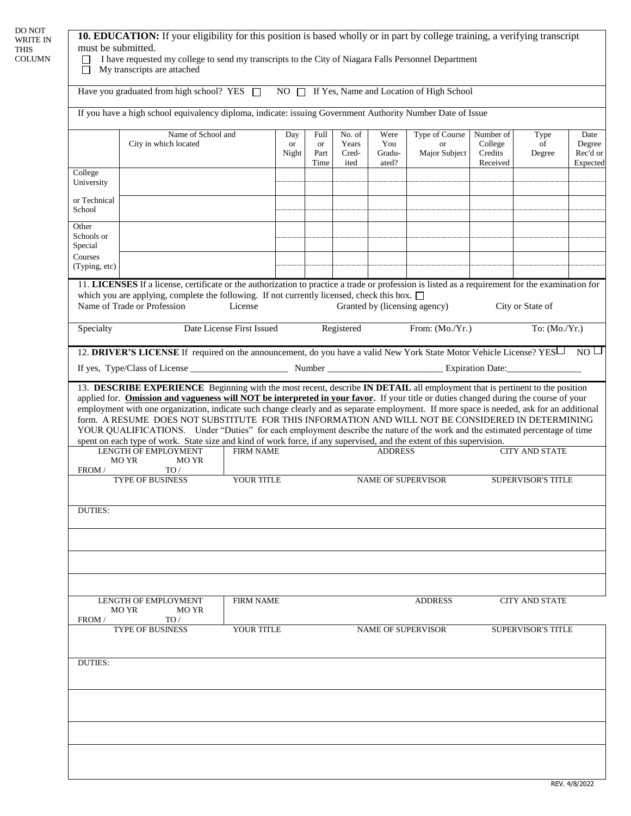|                                | Have you graduated from high school? YES NO NO T If Yes, Name and Location of High School                                                                                                                                                                                                                                                                                                                                                                                                                                                         |                           |                    |                                   |                                  |                                |                                                     |                                             |                           |                                        |
|--------------------------------|---------------------------------------------------------------------------------------------------------------------------------------------------------------------------------------------------------------------------------------------------------------------------------------------------------------------------------------------------------------------------------------------------------------------------------------------------------------------------------------------------------------------------------------------------|---------------------------|--------------------|-----------------------------------|----------------------------------|--------------------------------|-----------------------------------------------------|---------------------------------------------|---------------------------|----------------------------------------|
|                                | If you have a high school equivalency diploma, indicate: issuing Government Authority Number Date of Issue                                                                                                                                                                                                                                                                                                                                                                                                                                        |                           |                    |                                   |                                  |                                |                                                     |                                             |                           |                                        |
|                                | Name of School and<br>City in which located                                                                                                                                                                                                                                                                                                                                                                                                                                                                                                       |                           | Day<br>or<br>Night | Full<br><b>or</b><br>Part<br>Time | No. of<br>Years<br>Cred-<br>ited | Were<br>You<br>Gradu-<br>ated? | <b>Type of Course</b><br><b>or</b><br>Major Subject | Number of<br>College<br>Credits<br>Received | Type<br>of<br>Degree      | Date<br>Degree<br>Rec'd or<br>Expected |
| College<br>University          |                                                                                                                                                                                                                                                                                                                                                                                                                                                                                                                                                   |                           |                    |                                   |                                  |                                |                                                     |                                             |                           |                                        |
| or Technical<br>School         |                                                                                                                                                                                                                                                                                                                                                                                                                                                                                                                                                   |                           |                    |                                   |                                  |                                |                                                     |                                             |                           |                                        |
| Other<br>Schools or<br>Special |                                                                                                                                                                                                                                                                                                                                                                                                                                                                                                                                                   |                           |                    |                                   |                                  |                                |                                                     |                                             |                           |                                        |
| Courses<br>(Typing, etc)       |                                                                                                                                                                                                                                                                                                                                                                                                                                                                                                                                                   |                           |                    |                                   |                                  |                                |                                                     |                                             |                           |                                        |
|                                | 11. LICENSES If a license, certificate or the authorization to practice a trade or profession is listed as a requirement for the examination for<br>which you are applying, complete the following. If not currently licensed, check this box. $\Box$<br>Name of Trade or Profession                                                                                                                                                                                                                                                              | License                   |                    |                                   |                                  |                                | Granted by (licensing agency)                       |                                             | City or State of          |                                        |
| Specialty                      |                                                                                                                                                                                                                                                                                                                                                                                                                                                                                                                                                   | Date License First Issued |                    |                                   | Registered                       |                                | From: (Mo./Yr.)                                     |                                             | To: $(Mo/Yr.)$            |                                        |
|                                | 12. DRIVER'S LICENSE If required on the announcement, do you have a valid New York State Motor Vehicle License? YES no                                                                                                                                                                                                                                                                                                                                                                                                                            |                           |                    |                                   |                                  |                                |                                                     |                                             |                           |                                        |
|                                |                                                                                                                                                                                                                                                                                                                                                                                                                                                                                                                                                   |                           |                    |                                   |                                  |                                |                                                     |                                             |                           |                                        |
|                                | employment with one organization, indicate such change clearly and as separate employment. If more space is needed, ask for an additional<br>form. A RESUME DOES NOT SUBSTITUTE FOR THIS INFORMATION AND WILL NOT BE CONSIDERED IN DETERMINING<br>YOUR QUALIFICATIONS. Under "Duties" for each employment describe the nature of the work and the estimated percentage of time<br>spent on each type of work. State size and kind of work force, if any supervised, and the extent of this supervision.<br>LENGTH OF EMPLOYMENT<br>MO YR<br>MO YR | <b>FIRM NAME</b>          |                    |                                   |                                  | <b>ADDRESS</b>                 |                                                     |                                             | <b>CITY AND STATE</b>     |                                        |
| FROM /                         | TO/                                                                                                                                                                                                                                                                                                                                                                                                                                                                                                                                               |                           |                    |                                   |                                  |                                |                                                     |                                             |                           |                                        |
|                                | <b>TYPE OF BUSINESS</b>                                                                                                                                                                                                                                                                                                                                                                                                                                                                                                                           | YOUR TITLE                |                    |                                   |                                  |                                | <b>NAME OF SUPERVISOR</b>                           |                                             | <b>SUPERVISOR'S TITLE</b> |                                        |
|                                |                                                                                                                                                                                                                                                                                                                                                                                                                                                                                                                                                   |                           |                    |                                   |                                  |                                |                                                     |                                             |                           |                                        |
| <b>DUTIES:</b>                 |                                                                                                                                                                                                                                                                                                                                                                                                                                                                                                                                                   |                           |                    |                                   |                                  |                                |                                                     |                                             |                           |                                        |
|                                | LENGTH OF EMPLOYMENT<br>MO YR<br>MO YR                                                                                                                                                                                                                                                                                                                                                                                                                                                                                                            | <b>FIRM NAME</b>          |                    |                                   |                                  |                                | <b>ADDRESS</b>                                      |                                             | <b>CITY AND STATE</b>     |                                        |
| FROM /                         | TO/<br><b>TYPE OF BUSINESS</b>                                                                                                                                                                                                                                                                                                                                                                                                                                                                                                                    | YOUR TITLE                |                    |                                   |                                  |                                | <b>NAME OF SUPERVISOR</b>                           |                                             | <b>SUPERVISOR'S TITLE</b> |                                        |
| <b>DUTIES:</b>                 |                                                                                                                                                                                                                                                                                                                                                                                                                                                                                                                                                   |                           |                    |                                   |                                  |                                |                                                     |                                             |                           |                                        |
|                                |                                                                                                                                                                                                                                                                                                                                                                                                                                                                                                                                                   |                           |                    |                                   |                                  |                                |                                                     |                                             |                           |                                        |
|                                |                                                                                                                                                                                                                                                                                                                                                                                                                                                                                                                                                   |                           |                    |                                   |                                  |                                |                                                     |                                             |                           |                                        |
|                                |                                                                                                                                                                                                                                                                                                                                                                                                                                                                                                                                                   |                           |                    |                                   |                                  |                                |                                                     |                                             |                           |                                        |
|                                |                                                                                                                                                                                                                                                                                                                                                                                                                                                                                                                                                   |                           |                    |                                   |                                  |                                |                                                     |                                             |                           |                                        |
|                                |                                                                                                                                                                                                                                                                                                                                                                                                                                                                                                                                                   |                           |                    |                                   |                                  |                                |                                                     |                                             |                           |                                        |